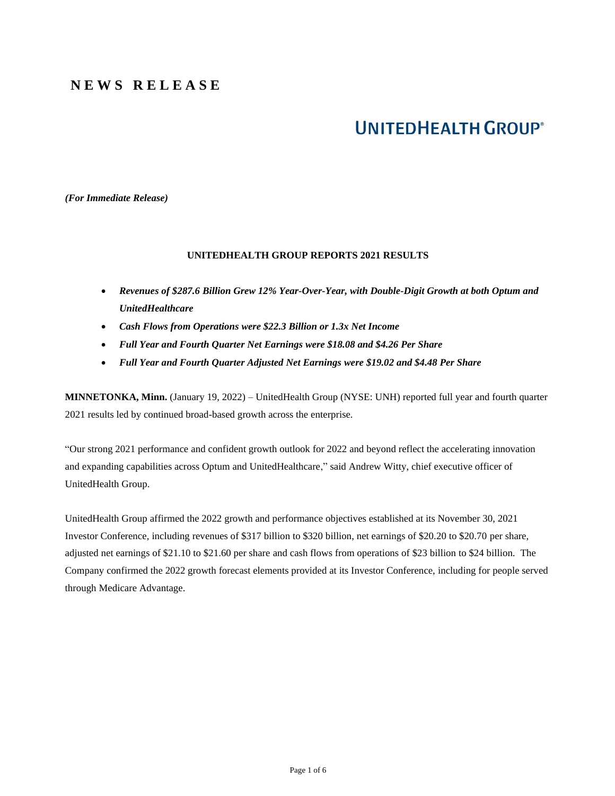# **N E W S R E L E A S E**

# **UNITEDHEALTH GROUP®**

### *(For Immediate Release)*

### **UNITEDHEALTH GROUP REPORTS 2021 RESULTS**

- *Revenues of \$287.6 Billion Grew 12% Year-Over-Year, with Double-Digit Growth at both Optum and UnitedHealthcare*
- *Cash Flows from Operations were \$22.3 Billion or 1.3x Net Income*
- *Full Year and Fourth Quarter Net Earnings were \$18.08 and \$4.26 Per Share*
- *Full Year and Fourth Quarter Adjusted Net Earnings were \$19.02 and \$4.48 Per Share*

**MINNETONKA, Minn.** (January 19, 2022) – UnitedHealth Group (NYSE: UNH) reported full year and fourth quarter 2021 results led by continued broad-based growth across the enterprise.

"Our strong 2021 performance and confident growth outlook for 2022 and beyond reflect the accelerating innovation and expanding capabilities across Optum and UnitedHealthcare," said Andrew Witty, chief executive officer of UnitedHealth Group.

UnitedHealth Group affirmed the 2022 growth and performance objectives established at its November 30, 2021 Investor Conference, including revenues of \$317 billion to \$320 billion, net earnings of \$20.20 to \$20.70 per share, adjusted net earnings of \$21.10 to \$21.60 per share and cash flows from operations of \$23 billion to \$24 billion. The Company confirmed the 2022 growth forecast elements provided at its Investor Conference, including for people served through Medicare Advantage.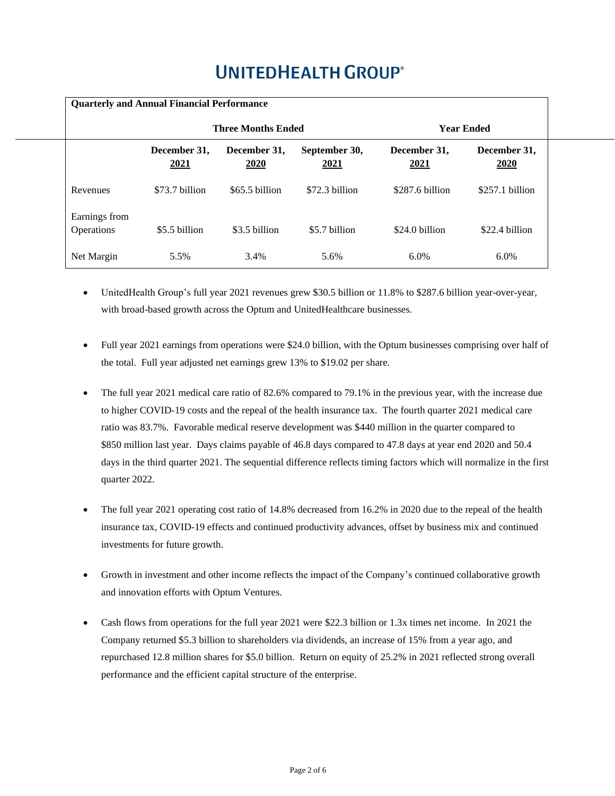# **UNITEDHEALTH GROUP®**

|                             | <b>Quarterly and Annual Financial Performance</b> |                      |                       |                      |                      |  |
|-----------------------------|---------------------------------------------------|----------------------|-----------------------|----------------------|----------------------|--|
|                             | <b>Three Months Ended</b>                         |                      |                       | <b>Year Ended</b>    |                      |  |
|                             | December 31,<br>2021                              | December 31,<br>2020 | September 30,<br>2021 | December 31,<br>2021 | December 31,<br>2020 |  |
| Revenues                    | $$73.7$ billion                                   | $$65.5$ billion      | $$72.3$ billion       | \$287.6 billion      | $$257.1$ billion     |  |
| Earnings from<br>Operations | \$5.5 billion                                     | \$3.5 billion        | \$5.7 billion         | \$24.0 billion       | \$22.4 billion       |  |
| Net Margin                  | 5.5%                                              | 3.4%                 | 5.6%                  | 6.0%                 | $6.0\%$              |  |

- UnitedHealth Group's full year 2021 revenues grew \$30.5 billion or 11.8% to \$287.6 billion year-over-year, with broad-based growth across the Optum and UnitedHealthcare businesses.
- Full year 2021 earnings from operations were \$24.0 billion, with the Optum businesses comprising over half of the total. Full year adjusted net earnings grew 13% to \$19.02 per share.
- The full year 2021 medical care ratio of 82.6% compared to 79.1% in the previous year, with the increase due to higher COVID-19 costs and the repeal of the health insurance tax. The fourth quarter 2021 medical care ratio was 83.7%. Favorable medical reserve development was \$440 million in the quarter compared to \$850 million last year. Days claims payable of 46.8 days compared to 47.8 days at year end 2020 and 50.4 days in the third quarter 2021. The sequential difference reflects timing factors which will normalize in the first quarter 2022.
- The full year 2021 operating cost ratio of 14.8% decreased from 16.2% in 2020 due to the repeal of the health insurance tax, COVID-19 effects and continued productivity advances, offset by business mix and continued investments for future growth.
- Growth in investment and other income reflects the impact of the Company's continued collaborative growth and innovation efforts with Optum Ventures.
- Cash flows from operations for the full year 2021 were \$22.3 billion or 1.3x times net income. In 2021 the Company returned \$5.3 billion to shareholders via dividends, an increase of 15% from a year ago, and repurchased 12.8 million shares for \$5.0 billion. Return on equity of 25.2% in 2021 reflected strong overall performance and the efficient capital structure of the enterprise.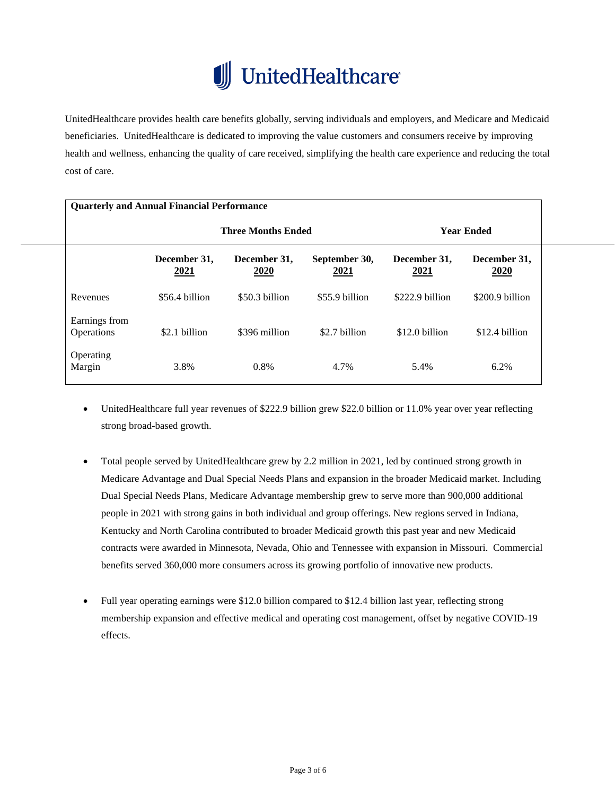# **J** UnitedHealthcare®

UnitedHealthcare provides health care benefits globally, serving individuals and employers, and Medicare and Medicaid beneficiaries. UnitedHealthcare is dedicated to improving the value customers and consumers receive by improving health and wellness, enhancing the quality of care received, simplifying the health care experience and reducing the total cost of care.

|                                    | <b>Quarterly and Annual Financial Performance</b> |                      |                       |                      |                      |
|------------------------------------|---------------------------------------------------|----------------------|-----------------------|----------------------|----------------------|
|                                    | <b>Three Months Ended</b>                         |                      |                       | <b>Year Ended</b>    |                      |
|                                    | December 31,<br>2021                              | December 31,<br>2020 | September 30,<br>2021 | December 31,<br>2021 | December 31,<br>2020 |
| Revenues                           | \$56.4 billion                                    | $$50.3$ billion      | \$55.9 billion        | $$222.9$ billion     | \$200.9 billion      |
| Earnings from<br><b>Operations</b> | \$2.1 billion                                     | \$396 million        | \$2.7 billion         | \$12.0 billion       | \$12.4 billion       |
| Operating<br>Margin                | 3.8%                                              | $0.8\%$              | 4.7%                  | 5.4%                 | 6.2%                 |

- UnitedHealthcare full year revenues of \$222.9 billion grew \$22.0 billion or 11.0% year over year reflecting strong broad-based growth.
- Total people served by UnitedHealthcare grew by 2.2 million in 2021, led by continued strong growth in Medicare Advantage and Dual Special Needs Plans and expansion in the broader Medicaid market. Including Dual Special Needs Plans, Medicare Advantage membership grew to serve more than 900,000 additional people in 2021 with strong gains in both individual and group offerings. New regions served in Indiana, Kentucky and North Carolina contributed to broader Medicaid growth this past year and new Medicaid contracts were awarded in Minnesota, Nevada, Ohio and Tennessee with expansion in Missouri. Commercial benefits served 360,000 more consumers across its growing portfolio of innovative new products.
- Full year operating earnings were \$12.0 billion compared to \$12.4 billion last year, reflecting strong membership expansion and effective medical and operating cost management, offset by negative COVID-19 effects.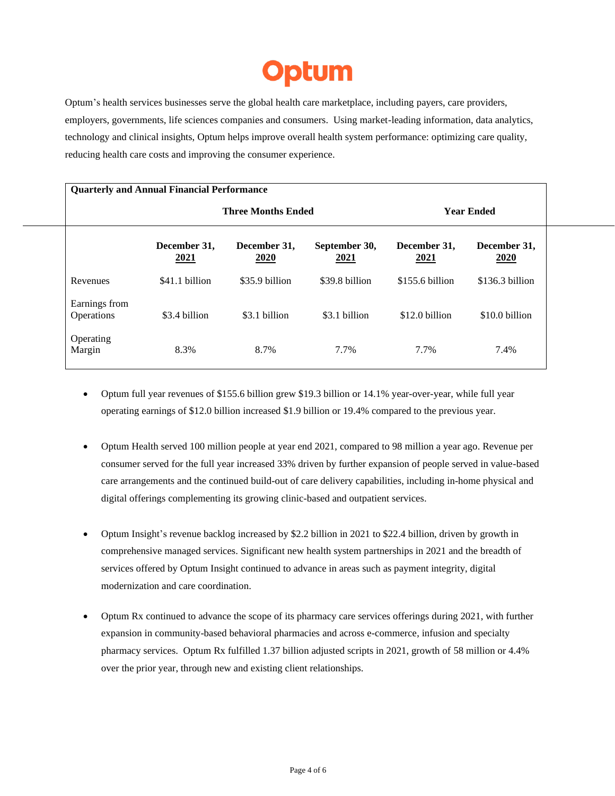

Optum's health services businesses serve the global health care marketplace, including payers, care providers, employers, governments, life sciences companies and consumers. Using market-leading information, data analytics, technology and clinical insights, Optum helps improve overall health system performance: optimizing care quality, reducing health care costs and improving the consumer experience.

|                                    | <b>Three Months Ended</b> |                      |                       | <b>Year Ended</b>    |                      |  |
|------------------------------------|---------------------------|----------------------|-----------------------|----------------------|----------------------|--|
|                                    | December 31,<br>2021      | December 31,<br>2020 | September 30,<br>2021 | December 31,<br>2021 | December 31,<br>2020 |  |
| Revenues                           | \$41.1 billion            | \$35.9 billion       | \$39.8 billion        | $$155.6$ billion     | \$136.3 billion      |  |
| Earnings from<br><b>Operations</b> | \$3.4 billion             | \$3.1 billion        | \$3.1 billion         | $$12.0\,$ billion    | \$10.0 billion       |  |
| Operating<br>Margin                | 8.3%                      | 8.7%                 | 7.7%                  | 7.7%                 | 7.4%                 |  |

- Optum full year revenues of \$155.6 billion grew \$19.3 billion or 14.1% year-over-year, while full year operating earnings of \$12.0 billion increased \$1.9 billion or 19.4% compared to the previous year.
- Optum Health served 100 million people at year end 2021, compared to 98 million a year ago. Revenue per consumer served for the full year increased 33% driven by further expansion of people served in value-based care arrangements and the continued build-out of care delivery capabilities, including in-home physical and digital offerings complementing its growing clinic-based and outpatient services.
- Optum Insight's revenue backlog increased by \$2.2 billion in 2021 to \$22.4 billion, driven by growth in comprehensive managed services. Significant new health system partnerships in 2021 and the breadth of services offered by Optum Insight continued to advance in areas such as payment integrity, digital modernization and care coordination.
- Optum Rx continued to advance the scope of its pharmacy care services offerings during 2021, with further expansion in community-based behavioral pharmacies and across e-commerce, infusion and specialty pharmacy services. Optum Rx fulfilled 1.37 billion adjusted scripts in 2021, growth of 58 million or 4.4% over the prior year, through new and existing client relationships.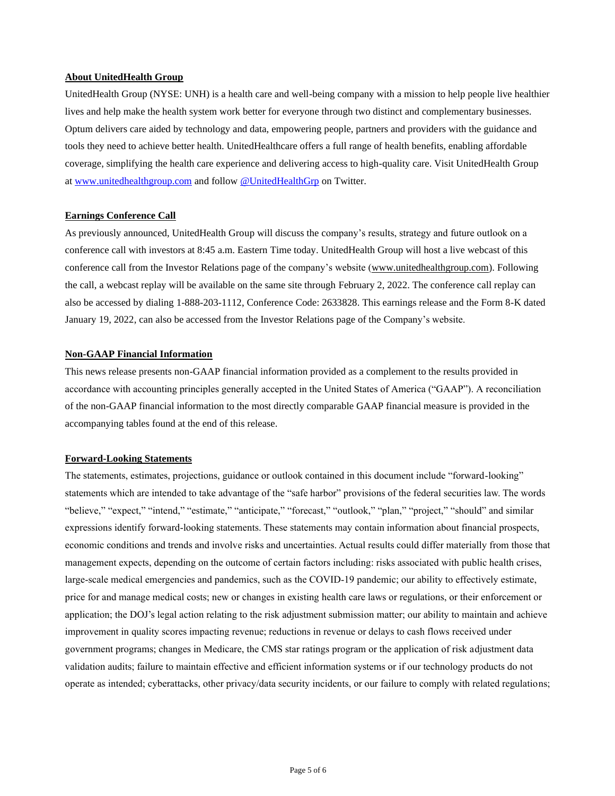#### **About UnitedHealth Group**

UnitedHealth Group (NYSE: UNH) is a health care and well-being company with a mission to help people live healthier lives and help make the health system work better for everyone through two distinct and complementary businesses. Optum delivers care aided by technology and data, empowering people, partners and providers with the guidance and tools they need to achieve better health. UnitedHealthcare offers a full range of health benefits, enabling affordable coverage, simplifying the health care experience and delivering access to high-quality care. Visit UnitedHealth Group at [www.unitedhealthgroup.com](http://www.unitedhealthgroup.com/) and follow [@UnitedHealthGrp](https://twitter.com/UnitedHealthGrp) on Twitter.

#### **Earnings Conference Call**

As previously announced, UnitedHealth Group will discuss the company's results, strategy and future outlook on a conference call with investors at 8:45 a.m. Eastern Time today. UnitedHealth Group will host a live webcast of this conference call from the Investor Relations page of the company's website [\(www.unitedhealthgroup.com\)](http://www.unitedhealthgroup.com/). Following the call, a webcast replay will be available on the same site through February 2, 2022. The conference call replay can also be accessed by dialing 1-888-203-1112, Conference Code: 2633828. This earnings release and the Form 8-K dated January 19, 2022, can also be accessed from the Investor Relations page of the Company's website.

### **Non-GAAP Financial Information**

This news release presents non-GAAP financial information provided as a complement to the results provided in accordance with accounting principles generally accepted in the United States of America ("GAAP"). A reconciliation of the non-GAAP financial information to the most directly comparable GAAP financial measure is provided in the accompanying tables found at the end of this release.

#### **Forward-Looking Statements**

The statements, estimates, projections, guidance or outlook contained in this document include "forward-looking" statements which are intended to take advantage of the "safe harbor" provisions of the federal securities law. The words "believe," "expect," "intend," "estimate," "anticipate," "forecast," "outlook," "plan," "project," "should" and similar expressions identify forward-looking statements. These statements may contain information about financial prospects, economic conditions and trends and involve risks and uncertainties. Actual results could differ materially from those that management expects, depending on the outcome of certain factors including: risks associated with public health crises, large-scale medical emergencies and pandemics, such as the COVID-19 pandemic; our ability to effectively estimate, price for and manage medical costs; new or changes in existing health care laws or regulations, or their enforcement or application; the DOJ's legal action relating to the risk adjustment submission matter; our ability to maintain and achieve improvement in quality scores impacting revenue; reductions in revenue or delays to cash flows received under government programs; changes in Medicare, the CMS star ratings program or the application of risk adjustment data validation audits; failure to maintain effective and efficient information systems or if our technology products do not operate as intended; cyberattacks, other privacy/data security incidents, or our failure to comply with related regulations;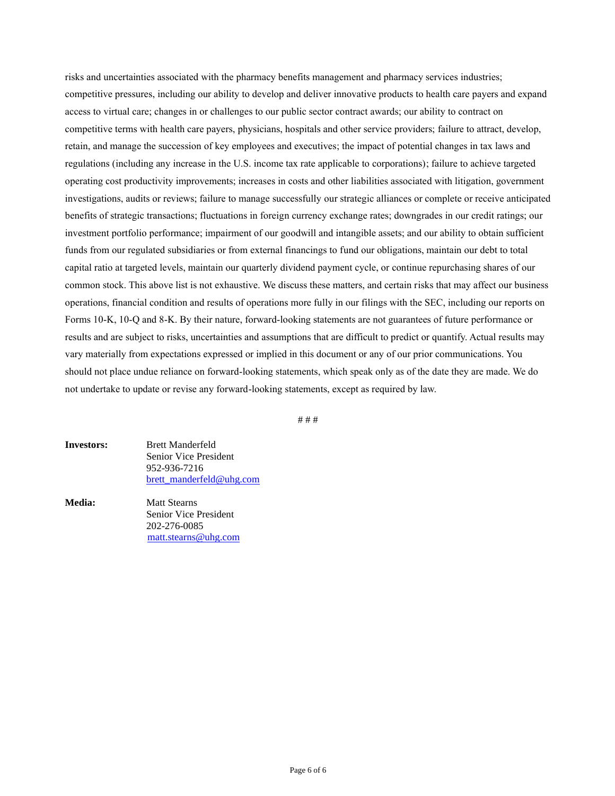risks and uncertainties associated with the pharmacy benefits management and pharmacy services industries; competitive pressures, including our ability to develop and deliver innovative products to health care payers and expand access to virtual care; changes in or challenges to our public sector contract awards; our ability to contract on competitive terms with health care payers, physicians, hospitals and other service providers; failure to attract, develop, retain, and manage the succession of key employees and executives; the impact of potential changes in tax laws and regulations (including any increase in the U.S. income tax rate applicable to corporations); failure to achieve targeted operating cost productivity improvements; increases in costs and other liabilities associated with litigation, government investigations, audits or reviews; failure to manage successfully our strategic alliances or complete or receive anticipated benefits of strategic transactions; fluctuations in foreign currency exchange rates; downgrades in our credit ratings; our investment portfolio performance; impairment of our goodwill and intangible assets; and our ability to obtain sufficient funds from our regulated subsidiaries or from external financings to fund our obligations, maintain our debt to total capital ratio at targeted levels, maintain our quarterly dividend payment cycle, or continue repurchasing shares of our common stock. This above list is not exhaustive. We discuss these matters, and certain risks that may affect our business operations, financial condition and results of operations more fully in our filings with the SEC, including our reports on Forms 10-K, 10-Q and 8-K. By their nature, forward-looking statements are not guarantees of future performance or results and are subject to risks, uncertainties and assumptions that are difficult to predict or quantify. Actual results may vary materially from expectations expressed or implied in this document or any of our prior communications. You should not place undue reliance on forward-looking statements, which speak only as of the date they are made. We do not undertake to update or revise any forward-looking statements, except as required by law.

# # #

**Investors:** Brett Manderfeld Senior Vice President 952-936-7216 [brett\\_manderfeld@uhg.com](mailto:brett_manderfeld@uhg.com) **Media:** Matt Stearns

Senior Vice President 202-276-0085 [matt.stearns@uhg.com](mailto:matt.stearns@uhg.com)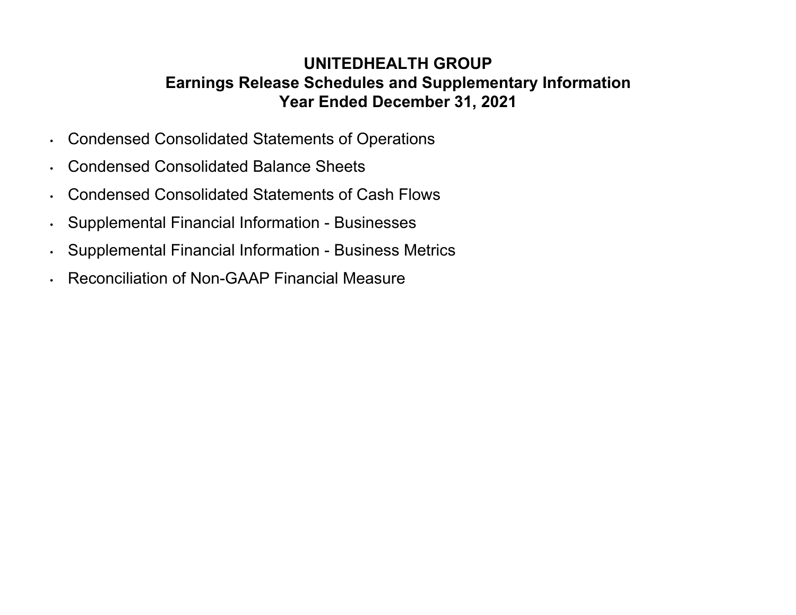# **UNITEDHEALTH GROUP Earnings Release Schedules and Supplementary Information Year Ended December 31, 2021**

- Condensed Consolidated Statements of Operations
- Condensed Consolidated Balance Sheets
- Condensed Consolidated Statements of Cash Flows
- Supplemental Financial Information Businesses
- Supplemental Financial Information Business Metrics
- Reconciliation of Non-GAAP Financial Measure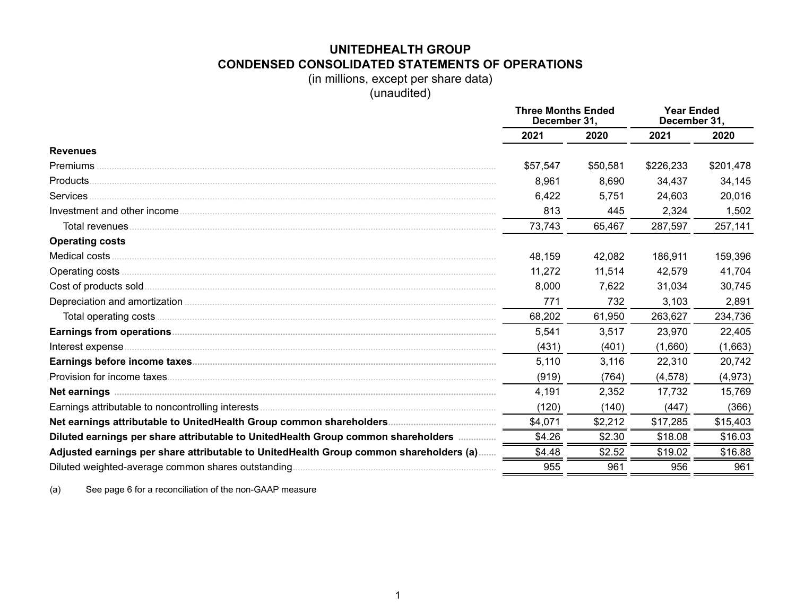# **UNITEDHEALTH GROUP CONDENSED CONSOLIDATED STATEMENTS OF OPERATIONS**

(in millions, except per share data)

(unaudited)

|                                                                                        | <b>Three Months Ended</b><br>December 31. |          | <b>Year Ended</b><br>December 31. |           |
|----------------------------------------------------------------------------------------|-------------------------------------------|----------|-----------------------------------|-----------|
|                                                                                        | 2021                                      | 2020     | 2021                              | 2020      |
| <b>Revenues</b>                                                                        |                                           |          |                                   |           |
| Premiums                                                                               | \$57,547                                  | \$50,581 | \$226,233                         | \$201,478 |
| Products.                                                                              | 8,961                                     | 8,690    | 34,437                            | 34,145    |
| Services                                                                               | 6,422                                     | 5,751    | 24,603                            | 20,016    |
|                                                                                        | 813                                       | 445      | 2,324                             | 1,502     |
| Total revenues                                                                         | 73,743                                    | 65,467   | 287,597                           | 257,141   |
| <b>Operating costs</b>                                                                 |                                           |          |                                   |           |
| Medical costs.                                                                         | 48,159                                    | 42,082   | 186,911                           | 159,396   |
|                                                                                        | 11,272                                    | 11,514   | 42,579                            | 41,704    |
|                                                                                        | 8,000                                     | 7,622    | 31,034                            | 30,745    |
|                                                                                        | 771                                       | 732      | 3,103                             | 2,891     |
|                                                                                        | 68,202                                    | 61,950   | 263,627                           | 234,736   |
|                                                                                        | 5,541                                     | 3,517    | 23,970                            | 22,405    |
| Interest expense                                                                       | (431)                                     | (401)    | (1,660)                           | (1,663)   |
|                                                                                        | 5,110                                     | 3,116    | 22,310                            | 20,742    |
|                                                                                        | (919)                                     | (764)    | (4,578)                           | (4, 973)  |
|                                                                                        | 4,191                                     | 2,352    | 17,732                            | 15,769    |
|                                                                                        | (120)                                     | (140)    | (447)                             | (366)     |
|                                                                                        | \$4,071                                   | \$2,212  | \$17,285                          | \$15,403  |
| Diluted earnings per share attributable to UnitedHealth Group common shareholders      | \$4.26                                    | \$2.30   | \$18.08                           | \$16.03   |
| Adjusted earnings per share attributable to UnitedHealth Group common shareholders (a) | \$4.48                                    | \$2.52   | \$19.02                           | \$16.88   |
|                                                                                        | 955                                       | 961      | 956                               | 961       |

(a) See page 6 for a reconciliation of the non-GAAP measure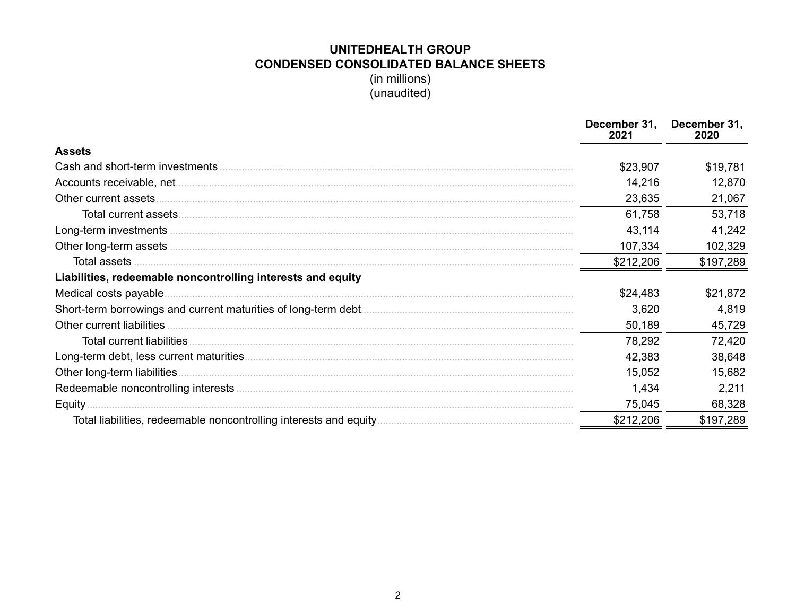# **UNITEDHEALTH GROUP CONDENSED CONSOLIDATED BALANCE SHEETS** (in millions) (unaudited)

|                                                                                                                                                                                                                                    | 2021      | December 31, December 31,<br>2020 |
|------------------------------------------------------------------------------------------------------------------------------------------------------------------------------------------------------------------------------------|-----------|-----------------------------------|
| <b>Assets</b>                                                                                                                                                                                                                      |           |                                   |
| Cash and short-term investments                                                                                                                                                                                                    | \$23,907  | \$19,781                          |
|                                                                                                                                                                                                                                    | 14,216    | 12,870                            |
|                                                                                                                                                                                                                                    | 23,635    | 21,067                            |
|                                                                                                                                                                                                                                    | 61,758    | 53,718                            |
|                                                                                                                                                                                                                                    | 43,114    | 41,242                            |
|                                                                                                                                                                                                                                    | 107,334   | 102,329                           |
| Total assets                                                                                                                                                                                                                       | \$212,206 | \$197,289                         |
| Liabilities, redeemable noncontrolling interests and equity                                                                                                                                                                        |           |                                   |
| Medical costs payable.                                                                                                                                                                                                             | \$24,483  | \$21,872                          |
|                                                                                                                                                                                                                                    | 3,620     | 4,819                             |
| Other current liabilities                                                                                                                                                                                                          | 50,189    | 45,729                            |
|                                                                                                                                                                                                                                    | 78,292    | 72,420                            |
|                                                                                                                                                                                                                                    | 42,383    | 38,648                            |
| Other long-term liabilities <b>contract to the contract of the liabilities</b> and the contract of the contract of the contract of the contract of the contract of the contract of the contract of the contract of the contract of | 15,052    | 15,682                            |
|                                                                                                                                                                                                                                    | 1,434     | 2,211                             |
| Equity.                                                                                                                                                                                                                            | 75,045    | 68,328                            |
|                                                                                                                                                                                                                                    | \$212,206 | \$197,289                         |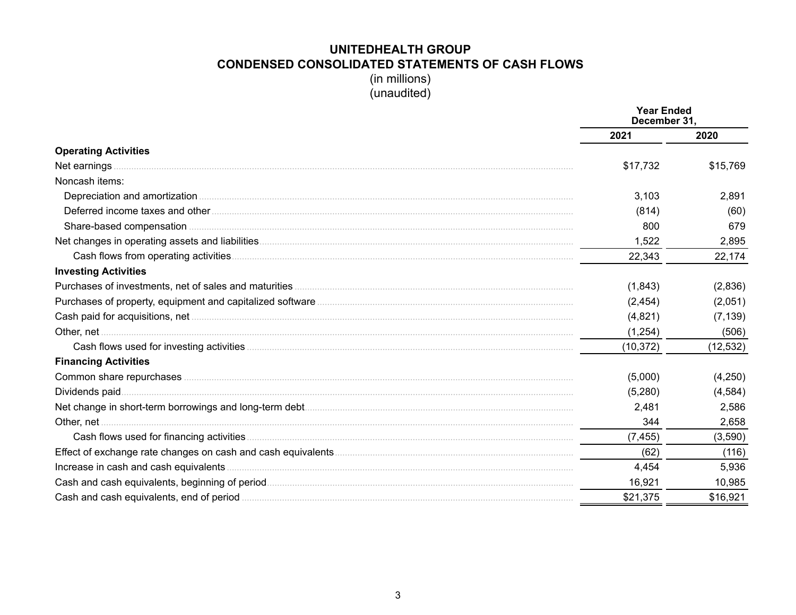### **UNITEDHEALTH GROUP CONDENSED CONSOLIDATED STATEMENTS OF CASH FLOWS** (in millions)

(unaudited)

|                             | <b>Year Ended</b><br>December 31, |           |
|-----------------------------|-----------------------------------|-----------|
|                             | 2021                              | 2020      |
| <b>Operating Activities</b> |                                   |           |
|                             | \$17,732                          | \$15,769  |
| Noncash items:              |                                   |           |
|                             | 3,103                             | 2,891     |
|                             | (814)                             | (60)      |
|                             | 800                               | 679       |
|                             | 1,522                             | 2,895     |
|                             | 22,343                            | 22,174    |
| <b>Investing Activities</b> |                                   |           |
|                             | (1,843)                           | (2,836)   |
|                             | (2, 454)                          | (2,051)   |
|                             | (4,821)                           | (7, 139)  |
|                             | (1,254)                           | (506)     |
|                             | (10, 372)                         | (12, 532) |
| <b>Financing Activities</b> |                                   |           |
|                             | (5,000)                           | (4,250)   |
|                             | (5,280)                           | (4, 584)  |
|                             | 2,481                             | 2,586     |
|                             | 344                               | 2,658     |
|                             | (7, 455)                          | (3,590)   |
|                             | (62)                              | (116)     |
|                             | 4,454                             | 5,936     |
|                             | 16,921                            | 10,985    |
|                             | \$21,375                          | \$16,921  |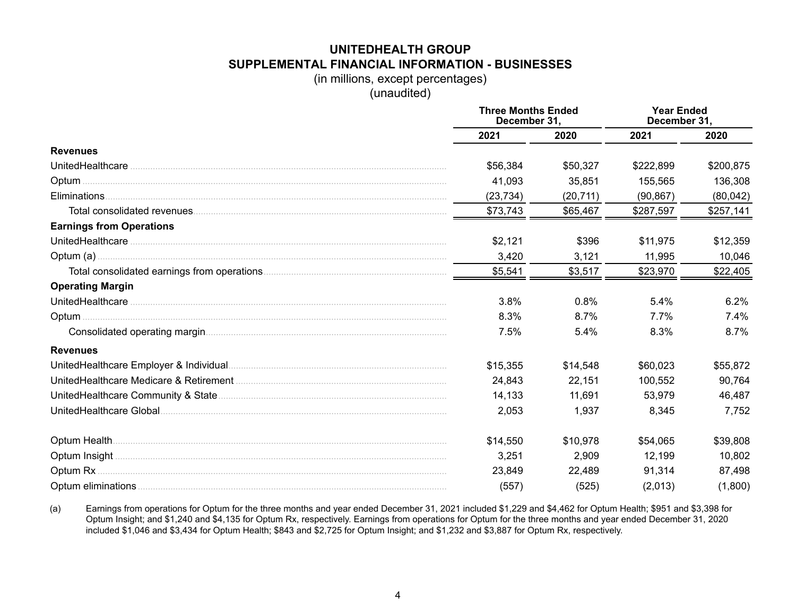### **UNITEDHEALTH GROUP SUPPLEMENTAL FINANCIAL INFORMATION - BUSINESSES**

(in millions, except percentages)

(unaudited)

|                                 |           | <b>Three Months Ended</b><br>December 31, |           | <b>Year Ended</b><br>December 31, |
|---------------------------------|-----------|-------------------------------------------|-----------|-----------------------------------|
|                                 | 2021      | 2020                                      | 2021      | 2020                              |
| <b>Revenues</b>                 |           |                                           |           |                                   |
|                                 | \$56,384  | \$50,327                                  | \$222,899 | \$200,875                         |
| Optum                           | 41,093    | 35,851                                    | 155,565   | 136,308                           |
|                                 | (23, 734) | (20, 711)                                 | (90, 867) | (80, 042)                         |
|                                 | \$73,743  | \$65,467                                  | \$287,597 | \$257,141                         |
| <b>Earnings from Operations</b> |           |                                           |           |                                   |
|                                 | \$2,121   | \$396                                     | \$11,975  | \$12,359                          |
|                                 | 3,420     | 3,121                                     | 11,995    | 10,046                            |
|                                 | \$5,541   | \$3,517                                   | \$23,970  | \$22,405                          |
| <b>Operating Margin</b>         |           |                                           |           |                                   |
|                                 | 3.8%      | $0.8\%$                                   | 5.4%      | 6.2%                              |
|                                 | 8.3%      | 8.7%                                      | 7.7%      | 7.4%                              |
|                                 | 7.5%      | 5.4%                                      | 8.3%      | 8.7%                              |
| <b>Revenues</b>                 |           |                                           |           |                                   |
|                                 | \$15,355  | \$14,548                                  | \$60,023  | \$55,872                          |
|                                 | 24,843    | 22,151                                    | 100,552   | 90,764                            |
|                                 | 14,133    | 11,691                                    | 53,979    | 46,487                            |
|                                 | 2,053     | 1,937                                     | 8,345     | 7,752                             |
|                                 | \$14,550  | \$10,978                                  | \$54,065  | \$39,808                          |
|                                 | 3,251     | 2,909                                     | 12,199    | 10,802                            |
|                                 | 23,849    | 22,489                                    | 91,314    | 87,498                            |
|                                 | (557)     | (525)                                     | (2,013)   | (1,800)                           |

(a) Earnings from operations for Optum for the three months and year ended December 31, 2021 included \$1,229 and \$4,462 for Optum Health; \$951 and \$3,398 for Optum Insight; and \$1,240 and \$4,135 for Optum Rx, respectively. Earnings from operations for Optum for the three months and year ended December 31, 2020 included \$1,046 and \$3,434 for Optum Health; \$843 and \$2,725 for Optum Insight; and \$1,232 and \$3,887 for Optum Rx, respectively.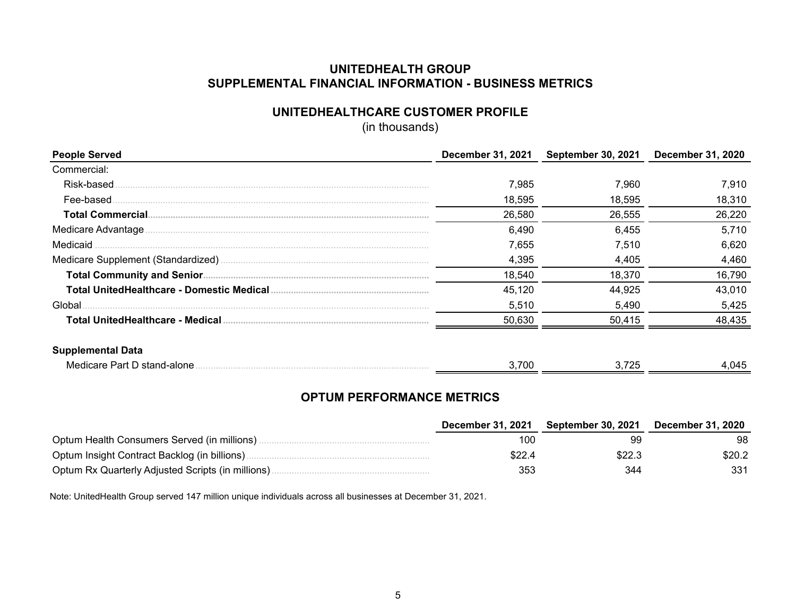## **UNITEDHEALTH GROUP SUPPLEMENTAL FINANCIAL INFORMATION - BUSINESS METRICS**

# **UNITEDHEALTHCARE CUSTOMER PROFILE**

(in thousands)

| <b>People Served</b>     |        | December 31, 2021 September 30, 2021 December 31, 2020 |        |
|--------------------------|--------|--------------------------------------------------------|--------|
| Commercial:              |        |                                                        |        |
| Risk-based               | 7.985  | 7.960                                                  | 7.910  |
| Fee-based                | 18,595 | 18,595                                                 | 18,310 |
| <b>Total Commercial.</b> | 26,580 | 26,555                                                 | 26,220 |
| Medicare Advantage       | 6,490  | 6,455                                                  | 5,710  |
| Medicaid                 | 7,655  | 7,510                                                  | 6,620  |
|                          | 4,395  | 4,405                                                  | 4,460  |
|                          | 18,540 | 18,370                                                 | 16,790 |
|                          | 45,120 | 44.925                                                 | 43,010 |
| Global                   | 5,510  | 5,490                                                  | 5,425  |
|                          | 50,630 | 50,415                                                 | 48,435 |
|                          |        |                                                        |        |
| <b>Supplemental Data</b> |        |                                                        |        |

| Medicare<br>1-alone<br>) stand-<br>. Dort<br>ail D | 700.<br>. | フつん | ، ۱д<br>. . |
|----------------------------------------------------|-----------|-----|-------------|
|----------------------------------------------------|-----------|-----|-------------|

# **OPTUM PERFORMANCE METRICS**

|                                                   | <b>December 31, 2021</b> | September 30, 2021 | December 31, 2020 |
|---------------------------------------------------|--------------------------|--------------------|-------------------|
|                                                   |                          | 99                 | 98                |
|                                                   | \$22.4                   | \$22.3             | \$20.2\$          |
| Optum Rx Quarterly Adjusted Scripts (in millions) | 353                      | 344                | 331               |

Note: UnitedHealth Group served 147 million unique individuals across all businesses at December 31, 2021.